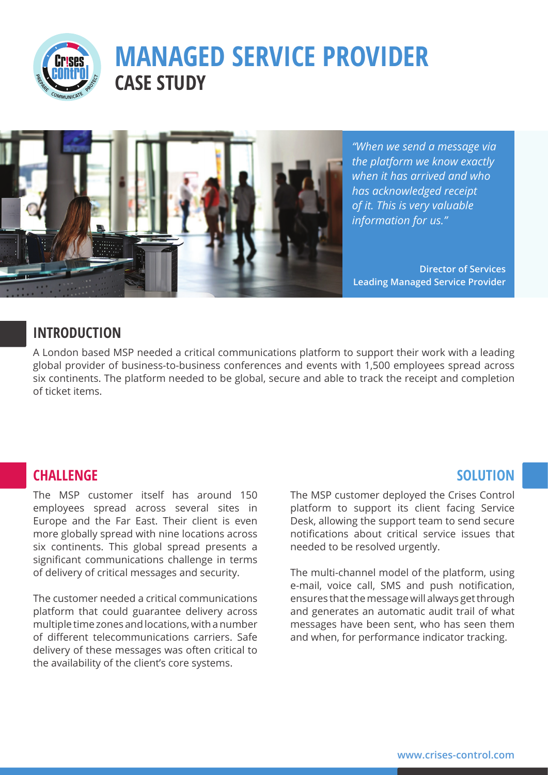

# **MANAGED SERVICE PROVIDER CASE STUDY**



*"When we send a message via the platform we know exactly when it has arrived and who has acknowledged receipt of it. This is very valuable information for us."*

**Director of Services Leading Managed Service Provider**

#### **INTRODUCTION**

A London based MSP needed a critical communications platform to support their work with a leading global provider of business-to-business conferences and events with 1,500 employees spread across six continents. The platform needed to be global, secure and able to track the receipt and completion of ticket items.

#### **CHALLENGE**

The MSP customer itself has around 150 employees spread across several sites in Europe and the Far East. Their client is even more globally spread with nine locations across six continents. This global spread presents a significant communications challenge in terms of delivery of critical messages and security.

The customer needed a critical communications platform that could guarantee delivery across multiple time zones and locations, with a number of different telecommunications carriers. Safe delivery of these messages was often critical to the availability of the client's core systems.

# **SOLUTION**

The MSP customer deployed the Crises Control platform to support its client facing Service Desk, allowing the support team to send secure notifications about critical service issues that needed to be resolved urgently.

The multi-channel model of the platform, using e-mail, voice call, SMS and push notification, ensures that the message will always get through and generates an automatic audit trail of what messages have been sent, who has seen them and when, for performance indicator tracking.